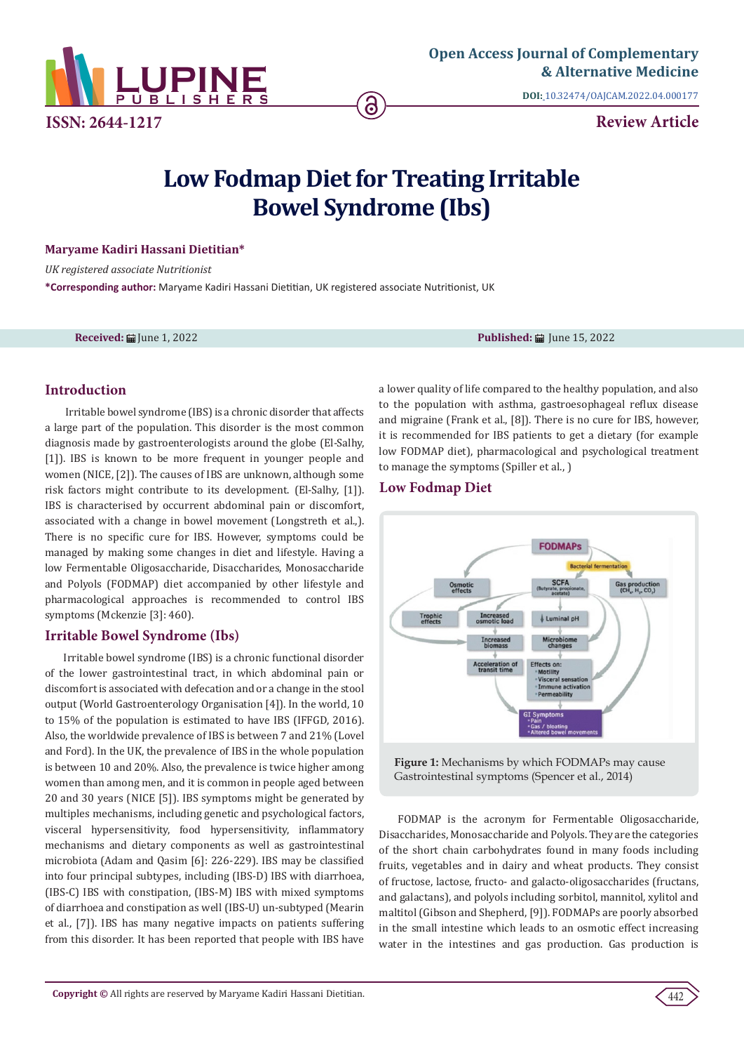

**DOI:** [10.32474/OAJCAM.2022.04.000177](http://dx.doi.org/10.32474/OAJCAM.2022.04.000177)

**Review Article**

# **Low Fodmap Diet for Treating Irritable Bowel Syndrome (Ibs)**

#### **Maryame Kadiri Hassani Dietitian\***

*UK registered associate Nutritionist*  **\*Corresponding author:** Maryame Kadiri Hassani Dietitian, UK registered associate Nutritionist, UK

**Received: 論** June 1, 2022 **Published: 論** June 15, 2022

# **Introduction**

 Irritable bowel syndrome (IBS) is a chronic disorder that affects a large part of the population. This disorder is the most common diagnosis made by gastroenterologists around the globe (El-Salhy, [1]). IBS is known to be more frequent in younger people and women (NICE, [2]). The causes of IBS are unknown, although some risk factors might contribute to its development. (El-Salhy, [1]). IBS is characterised by occurrent abdominal pain or discomfort, associated with a change in bowel movement (Longstreth et al.,). There is no specific cure for IBS. However, symptoms could be managed by making some changes in diet and lifestyle. Having a low Fermentable Oligosaccharide, Disaccharides, Monosaccharide and Polyols (FODMAP) diet accompanied by other lifestyle and pharmacological approaches is recommended to control IBS symptoms (Mckenzie [3]: 460).

# **Irritable Bowel Syndrome (Ibs)**

Irritable bowel syndrome (IBS) is a chronic functional disorder of the lower gastrointestinal tract, in which abdominal pain or discomfort is associated with defecation and or a change in the stool output (World Gastroenterology Organisation [4]). In the world, 10 to 15% of the population is estimated to have IBS (IFFGD, 2016). Also, the worldwide prevalence of IBS is between 7 and 21% (Lovel and Ford). In the UK, the prevalence of IBS in the whole population is between 10 and 20%. Also, the prevalence is twice higher among women than among men, and it is common in people aged between 20 and 30 years (NICE [5]). IBS symptoms might be generated by multiples mechanisms, including genetic and psychological factors, visceral hypersensitivity, food hypersensitivity, inflammatory mechanisms and dietary components as well as gastrointestinal microbiota (Adam and Qasim [6]: 226-229). IBS may be classified into four principal subtypes, including (IBS-D) IBS with diarrhoea, (IBS-C) IBS with constipation, (IBS-M) IBS with mixed symptoms of diarrhoea and constipation as well (IBS-U) un-subtyped (Mearin et al., [7]). IBS has many negative impacts on patients suffering from this disorder. It has been reported that people with IBS have

a lower quality of life compared to the healthy population, and also to the population with asthma, gastroesophageal reflux disease and migraine (Frank et al., [8]). There is no cure for IBS, however, it is recommended for IBS patients to get a dietary (for example low FODMAP diet), pharmacological and psychological treatment to manage the symptoms (Spiller et al., )

### **Low Fodmap Diet**



**Figure 1:** Mechanisms by which FODMAPs may cause Gastrointestinal symptoms (Spencer et al., 2014)

FODMAP is the acronym for Fermentable Oligosaccharide, Disaccharides, Monosaccharide and Polyols. They are the categories of the short chain carbohydrates found in many foods including fruits, vegetables and in dairy and wheat products. They consist of fructose, lactose, fructo- and galacto-oligosaccharides (fructans, and galactans), and polyols including sorbitol, mannitol, xylitol and maltitol (Gibson and Shepherd, [9]). FODMAPs are poorly absorbed in the small intestine which leads to an osmotic effect increasing water in the intestines and gas production. Gas production is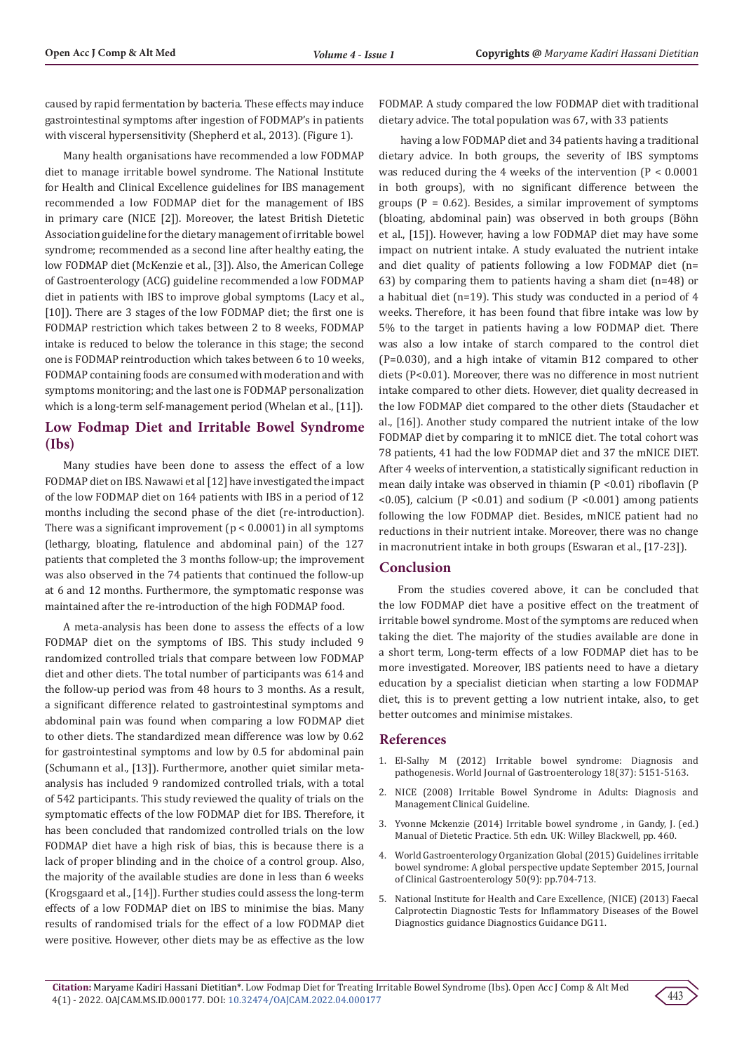caused by rapid fermentation by bacteria. These effects may induce gastrointestinal symptoms after ingestion of FODMAP's in patients with visceral hypersensitivity (Shepherd et al., 2013). (Figure 1).

Many health organisations have recommended a low FODMAP diet to manage irritable bowel syndrome. The National Institute for Health and Clinical Excellence guidelines for IBS management recommended a low FODMAP diet for the management of IBS in primary care (NICE [2]). Moreover, the latest British Dietetic Association guideline for the dietary management of irritable bowel syndrome; recommended as a second line after healthy eating, the low FODMAP diet (McKenzie et al., [3]). Also, the American College of Gastroenterology (ACG) guideline recommended a low FODMAP diet in patients with IBS to improve global symptoms (Lacy et al., [10]). There are 3 stages of the low FODMAP diet; the first one is FODMAP restriction which takes between 2 to 8 weeks, FODMAP intake is reduced to below the tolerance in this stage; the second one is FODMAP reintroduction which takes between 6 to 10 weeks, FODMAP containing foods are consumed with moderation and with symptoms monitoring; and the last one is FODMAP personalization which is a long-term self-management period (Whelan et al., [11]).

# **Low Fodmap Diet and Irritable Bowel Syndrome (Ibs)**

Many studies have been done to assess the effect of a low FODMAP diet on IBS. Nawawi et al [12] have investigated the impact of the low FODMAP diet on 164 patients with IBS in a period of 12 months including the second phase of the diet (re-introduction). There was a significant improvement ( $p < 0.0001$ ) in all symptoms (lethargy, bloating, flatulence and abdominal pain) of the 127 patients that completed the 3 months follow-up; the improvement was also observed in the 74 patients that continued the follow-up at 6 and 12 months. Furthermore, the symptomatic response was maintained after the re-introduction of the high FODMAP food.

A meta-analysis has been done to assess the effects of a low FODMAP diet on the symptoms of IBS. This study included 9 randomized controlled trials that compare between low FODMAP diet and other diets. The total number of participants was 614 and the follow-up period was from 48 hours to 3 months. As a result, a significant difference related to gastrointestinal symptoms and abdominal pain was found when comparing a low FODMAP diet to other diets. The standardized mean difference was low by 0.62 for gastrointestinal symptoms and low by 0.5 for abdominal pain (Schumann et al., [13]). Furthermore, another quiet similar metaanalysis has included 9 randomized controlled trials, with a total of 542 participants. This study reviewed the quality of trials on the symptomatic effects of the low FODMAP diet for IBS. Therefore, it has been concluded that randomized controlled trials on the low FODMAP diet have a high risk of bias, this is because there is a lack of proper blinding and in the choice of a control group. Also, the majority of the available studies are done in less than 6 weeks (Krogsgaard et al., [14]). Further studies could assess the long-term effects of a low FODMAP diet on IBS to minimise the bias. Many results of randomised trials for the effect of a low FODMAP diet were positive. However, other diets may be as effective as the low

FODMAP. A study compared the low FODMAP diet with traditional dietary advice. The total population was 67, with 33 patients

 having a low FODMAP diet and 34 patients having a traditional dietary advice. In both groups, the severity of IBS symptoms was reduced during the 4 weeks of the intervention (P < 0.0001 in both groups), with no significant difference between the groups ( $P = 0.62$ ). Besides, a similar improvement of symptoms (bloating, abdominal pain) was observed in both groups (Böhn et al., [15]). However, having a low FODMAP diet may have some impact on nutrient intake. A study evaluated the nutrient intake and diet quality of patients following a low FODMAP diet (n= 63) by comparing them to patients having a sham diet (n=48) or a habitual diet (n=19). This study was conducted in a period of 4 weeks. Therefore, it has been found that fibre intake was low by 5% to the target in patients having a low FODMAP diet. There was also a low intake of starch compared to the control diet (P=0.030), and a high intake of vitamin B12 compared to other diets (P<0.01). Moreover, there was no difference in most nutrient intake compared to other diets. However, diet quality decreased in the low FODMAP diet compared to the other diets (Staudacher et al., [16]). Another study compared the nutrient intake of the low FODMAP diet by comparing it to mNICE diet. The total cohort was 78 patients, 41 had the low FODMAP diet and 37 the mNICE DIET. After 4 weeks of intervention, a statistically significant reduction in mean daily intake was observed in thiamin (P <0.01) riboflavin (P  $\leq$  0.05), calcium (P $\leq$  0.01) and sodium (P $\leq$  0.001) among patients following the low FODMAP diet. Besides, mNICE patient had no reductions in their nutrient intake. Moreover, there was no change in macronutrient intake in both groups (Eswaran et al., [17-23]).

#### **Conclusion**

From the studies covered above, it can be concluded that the low FODMAP diet have a positive effect on the treatment of irritable bowel syndrome. Most of the symptoms are reduced when taking the diet. The majority of the studies available are done in a short term, Long-term effects of a low FODMAP diet has to be more investigated. Moreover, IBS patients need to have a dietary education by a specialist dietician when starting a low FODMAP diet, this is to prevent getting a low nutrient intake, also, to get better outcomes and minimise mistakes.

#### **References**

- 1. [El-Salhy M \(2012\) Irritable bowel syndrome: Diagnosis and](https://www.ncbi.nlm.nih.gov/pmc/articles/PMC3468846/) [pathogenesis. World Journal of Gastroenterology 18\(37\): 5151-5163.](https://www.ncbi.nlm.nih.gov/pmc/articles/PMC3468846/)
- 2. [NICE \(2008\) Irritable Bowel Syndrome in Adults: Diagnosis and](https://www.nice.org.uk/guidance/cg61/resources/irritable-bowel-syndrome-in-adults-diagnosis-and-management-975562917829) [Management Clinical Guideline.](https://www.nice.org.uk/guidance/cg61/resources/irritable-bowel-syndrome-in-adults-diagnosis-and-management-975562917829)
- 3. Yvonne Mckenzie (2014) Irritable bowel syndrome , in Gandy, J. (ed.) Manual of Dietetic Practice. 5th edn. UK: Willey Blackwell, pp. 460.
- 4. World Gastroenterology Organization Global (2015) Guidelines irritable bowel syndrome: A global perspective update September 2015, Journal of Clinical Gastroenterology 50(9): pp.704-713.
- 5. National Institute for Health and Care Excellence, (NICE) (2013) Faecal Calprotectin Diagnostic Tests for Inflammatory Diseases of the Bowel Diagnostics guidance Diagnostics Guidance DG11.